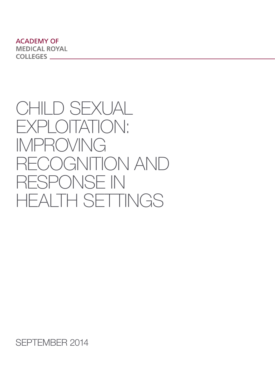**ACADEMY OF MEDICAL ROYAL COLLEGES** 

# CHILD SEXUAL EXPLOITATION: IMPROVING RECOGNITION AND RESPONSE IN HEALTH SETTINGS

SEPTEMBER 2014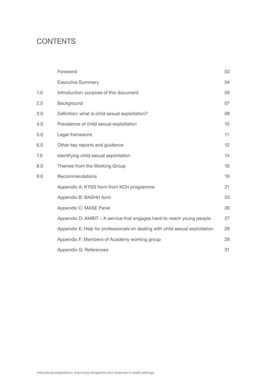# **CONTENTS**

|     | Foreword                                                                     | 03 |
|-----|------------------------------------------------------------------------------|----|
|     | <b>Executive Summary</b>                                                     | 04 |
| 1.0 | Introduction: purpose of this document                                       | 06 |
| 2.0 | Background                                                                   | 07 |
| 3.0 | Definition: what is child sexual exploitation?                               | 08 |
| 4.0 | Prevalence of child sexual exploitation                                      | 10 |
| 5.0 | Legal framework                                                              | 11 |
| 6.0 | Other key reports and guidance                                               | 12 |
| 7.0 | Identifying child sexual exploitation                                        | 14 |
| 8.0 | Themes from the Working Group                                                | 16 |
| 9.0 | Recommendations                                                              | 19 |
|     | Appendix A: KYSS form from KCH programme                                     | 21 |
|     | Appendix B: BASHH form                                                       | 23 |
|     | Appendix C: MASE Panel                                                       | 26 |
|     | Appendix D: AMBIT – A service that engages hard-to-reach young people        | 27 |
|     | Appendix E: Help for professionals on dealing with child sexual exploitation | 28 |
|     | Appendix F: Members of Academy working group                                 | 29 |
|     | Appendix G: References                                                       | 31 |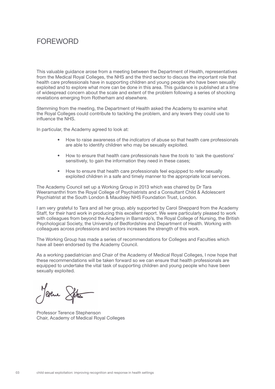# **FOREWORD**

This valuable guidance arose from a meeting between the Department of Health, representatives from the Medical Royal Colleges, the NHS and the third sector to discuss the important role that health care professionals have in supporting children and young people who have been sexually exploited and to explore what more can be done in this area. This guidance is published at a time of widespread concern about the scale and extent of the problem following a series of shocking revelations emerging from Rotherham and elsewhere.

Stemming from the meeting, the Department of Health asked the Academy to examine what the Royal Colleges could contribute to tackling the problem, and any levers they could use to influence the NHS.

In particular, the Academy agreed to look at:

- How to raise awareness of the *indicators* of abuse so that health care professionals are able to identify children who may be sexually exploited.
- How to ensure that health care professionals have the *tools* to 'ask the questions' sensitively, to gain the information they need in these cases;
- • How to ensure that health care professionals feel equipped to *refer* sexually exploited children in a safe and timely manner to the appropriate local services.

The Academy Council set up a Working Group in 2013 which was chaired by Dr Tara Weeramanthri from the Royal College of Psychiatrists and a Consultant Child & Adolescent Psychiatrist at the South London & Maudsley NHS Foundation Trust, London.

I am very grateful to Tara and all her group, ably supported by Carol Sheppard from the Academy Staff, for their hard work in producing this excellent report. We were particularly pleased to work with colleagues from beyond the Academy in Barnardo's, the Royal College of Nursing, the British Psychological Society, the University of Bedfordshire and Department of Health. Working with colleagues across professions and sectors increases the strength of this work.

The Working Group has made a series of recommendations for Colleges and Faculties which have all been endorsed by the Academy Council.

As a working paediatrician and Chair of the Academy of Medical Royal Colleges, I now hope that these recommendations will be taken forward so we can ensure that health professionals are equipped to undertake the vital task of supporting children and young people who have been sexually exploited.

Jevene Spter

Professor Terence Stephenson Chair, Academy of Medical Royal Colleges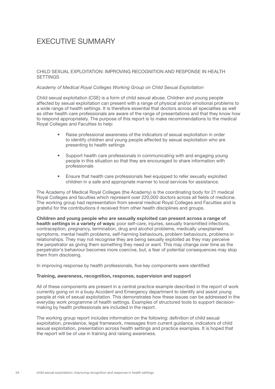# EXECUTIVE SUMMARY

#### CHILD SEXUAL EXPLOITATION: IMPROVING RECOGNITION AND RESPONSE IN HEALTH **SETTINGS**

#### *Academy of Medical Royal Colleges Working Group on Child Sexual Exploitation*

Child sexual exploitation (CSE) is a form of child sexual abuse. Children and young people affected by sexual exploitation can present with a range of physical and/or emotional problems to a wide range of health settings. It is therefore essential that doctors across all specialties as well as other health care professionals are aware of the range of presentations and that they know how to respond appropriately. The purpose of this report is to make recommendations to the medical Royal Colleges and Faculties to help:

- Raise professional awareness of the indicators of sexual exploitation in order to identify children and young people affected by sexual exploitation who are presenting to health settings
- Support health care professionals in communicating with and engaging young people in this situation so that they are encouraged to share information with professionals
- Ensure that health care professionals feel equipped to refer sexually exploited children in a safe and appropriate manner to local services for assistance.

The Academy of Medical Royal Colleges (the Academy) is the coordinating body for 21 medical Royal Colleges and faculties which represent over 220,000 doctors across all fields of medicine. The working group had representation from several medical Royal Colleges and Faculties and is grateful for the contributions it received from other health disciplines and groups.

Children and young people who are sexually exploited can present across a range of health settings in a variety of ways: poor self-care, injuries, sexually transmitted infections, contraception, pregnancy, termination, drug and alcohol problems, medically unexplained symptoms, mental health problems, self-harming behaviours, problem behaviours, problems in relationships. They may not recognise they are being sexually exploited as they may perceive the perpetrator as giving them something they need or want. This may change over time as the perpetrator's behaviour becomes more coercive, but, a fear of potential consequences may stop them from disclosing.

In improving response by health professionals, five key components were identified:

#### Training, awareness, recognition, response, supervision and support

All of these components are present in a central practice example described in the report of work currently going on in a busy Accident and Emergency department to identify and assist young people at risk of sexual exploitation. This demonstrates how these issues can be addressed in the everyday work programme of health settings. Examples of structured tools to support decisionmaking by health professionals are included in the report.

The working group report includes information on the following: definition of child sexual exploitation, prevalence, legal framework, messages from current guidance, indicators of child sexual exploitation, presentation across health settings and practice examples. It is hoped that the report will be of use in training and raising awareness.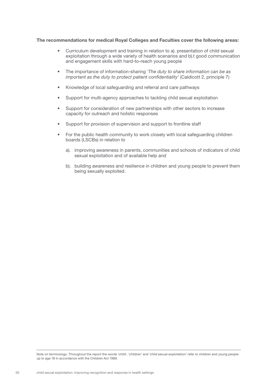#### The recommendations for medical Royal Colleges and Faculties cover the following areas:

- Curriculum development and training in relation to a). presentation of child sexual exploitation through a wide variety of health scenarios and b).t good communication and engagement skills with hard-to-reach young people
- • The importance of information-sharing *'The duty to share information can be as important as the duty to protect patient confidentiality'* (Caldicott 2, principle 7)
- • Knowledge of local safeguarding and referral and care pathways
- Support for multi-agency approaches to tackling child sexual exploitation
- Support for consideration of new partnerships with other sectors to increase capacity for outreach and holistic responses
- Support for provision of supervision and support to frontline staff
- For the public health community to work closely with local safeguarding children boards (LSCBs) in relation to
	- a). improving awareness in parents, communities and schools of indicators of child sexual exploitation and of available help and
	- b). building awareness and resilience in children and young people to prevent them being sexually exploited.

Note on terminology: Throughout the report the words 'child', 'children' and 'child sexual exploitation' refer to children and young people up to age 18 in accordance with the Children Act 1989.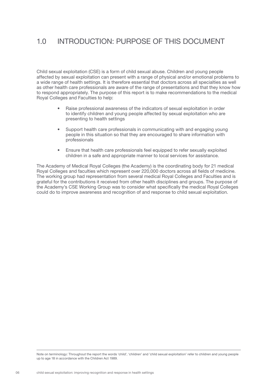## 1.0 INTRODUCTION: PURPOSE OF THIS DOCUMENT

Child sexual exploitation (CSE) is a form of child sexual abuse. Children and young people affected by sexual exploitation can present with a range of physical and/or emotional problems to a wide range of health settings. It is therefore essential that doctors across all specialties as well as other health care professionals are aware of the range of presentations and that they know how to respond appropriately. The purpose of this report is to make recommendations to the medical Royal Colleges and Faculties to help:

- Raise professional awareness of the indicators of sexual exploitation in order to identify children and young people affected by sexual exploitation who are presenting to health settings
- Support health care professionals in communicating with and engaging young people in this situation so that they are encouraged to share information with professionals
- Ensure that health care professionals feel equipped to refer sexually exploited children in a safe and appropriate manner to local services for assistance.

The Academy of Medical Royal Colleges (the Academy) is the coordinating body for 21 medical Royal Colleges and faculties which represent over 220,000 doctors across all fields of medicine. The working group had representation from several medical Royal Colleges and Faculties and is grateful for the contributions it received from other health disciplines and groups. The purpose of the Academy's CSE Working Group was to consider what specifically the medical Royal Colleges could do to improve awareness and recognition of and response to child sexual exploitation.

Note on terminology: Throughout the report the words 'child', 'children' and 'child sexual exploitation' refer to children and young people up to age 18 in accordance with the Children Act 1989.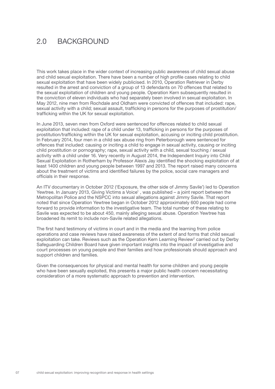### 2.0 BACKGROUND

This work takes place in the wider context of increasing public awareness of child sexual abuse and child sexual exploitation. There have been a number of high profile cases relating to child sexual exploitation that have been widely publicised. In 2010, Operation Retriever in Derby resulted in the arrest and conviction of a group of 13 defendants on 70 offences that related to the sexual exploitation of children and young people. Operation Kern subsequently resulted in the conviction of eleven individuals who had separately been involved in sexual exploitation. In May 2012, nine men from Rochdale and Oldham were convicted of offences that included: rape, sexual activity with a child; sexual assault, trafficking in persons for the purposes of prostitution/ trafficking within the UK for sexual exploitation.

In June 2013, seven men from Oxford were sentenced for offences related to child sexual exploitation that included: rape of a child under 13, trafficking in persons for the purposes of prostitution/trafficking within the UK for sexual exploitation, accusing or inciting child prostitution. In February 2014, four men in a child sex abuse ring from Peterborough were sentenced for offences that included: causing or inciting a child to engage in sexual activity, causing or inciting child prostitution or pornography; rape, sexual activity with a child, sexual touching / sexual activity with a child under 16. Very recently in August 2014, the Independent Inquiry into Child Sexual Exploitation in Rotherham by Professor Alexis Jay identified the shocking exploitation of at least 1400 children and young people between 1997 and 2013. The report raised many concerns about the treatment of victims and identified failures by the police, social care managers and officials in their response.

An ITV documentary in October 2012 ('Exposure, the other side of Jimmy Savile') led to Operation Yewtree. In January 2013, Giving Victims a Voice<sup>1</sup>, was published - a joint report between the Metropolitan Police and the NSPCC into sexual allegations against Jimmy Savile. That report noted that since Operation Yewtree began in October 2012 approximately 600 people had come forward to provide information to the investigative team. The total number of these relating to Savile was expected to be about 450, mainly alleging sexual abuse. Operation Yewtree has broadened its remit to include non-Savile related allegations.

The first hand testimony of victims in court and in the media and the learning from police operations and case reviews have raised awareness of the extent of and forms that child sexual exploitation can take. Reviews such as the Operation Kern Learning Review<sup>2</sup> carried out by Derby Safeguarding Children Board have given important insights into the impact of investigative and court processes on young people and their families and how professionals should approach and support children and families.

Given the consequences for physical and mental health for some children and young people who have been sexually exploited, this presents a major public health concern necessitating consideration of a more systematic approach to prevention and intervention.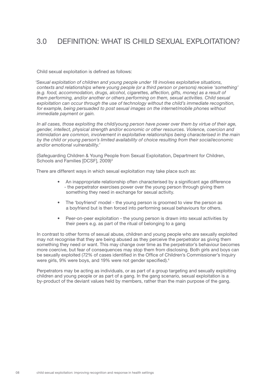# 3.0 DEFINITION: WHAT IS CHILD SEXUAL EXPLOITATION?

Child sexual exploitation is defined as follows:

*'Sexual exploitation of children and young people under 18 involves exploitative situations, contexts and relationships where young people (or a third person or persons) receive 'something' (e.g. food, accommodation, drugs, alcohol, cigarettes, affection, gifts, money) as a result of them performing, and/or another or others performing on them, sexual activities. Child sexual exploitation can occur through the use of technology without the child's immediate recognition,*  for example, being persuaded to post sexual images on the internet/mobile phones without *immediate payment or gain.*

*In all cases, those exploiting the child/young person have power over them by virtue of their age, gender, intellect, physical strength and/or economic or other resources. Violence, coercion and intimidation are common, involvement in exploitative relationships being characterised in the main by the child or young person's limited availability of choice resulting from their social/economic and/or emotional vulnerability.'* 

(Safeguarding Children & Young People from Sexual Exploitation, Department for Children, Schools and Families [DCSF], 2009)<sup>3</sup>

There are different ways in which sexual exploitation may take place such as:

- An inappropriate relationship often characterised by a significant age difference - the perpetrator exercises power over the young person through giving them something they need in exchange for sexual activity.
- The 'boyfriend' model the young person is groomed to view the person as a boyfriend but is then forced into performing sexual behaviours for others.
- Peer-on-peer exploitation the young person is drawn into sexual activities by their peers e.g. as part of the ritual of belonging to a gang

In contrast to other forms of sexual abuse, children and young people who are sexually exploited may not recognise that they are being abused as they perceive the perpetrator as giving them something they need or want. This may change over time as the perpetrator's behaviour becomes more coercive, but fear of consequences may stop them from disclosing. Both girls and boys can be sexually exploited (72% of cases identified in the Office of Children's Commissioner's Inquiry were girls, 9% were boys, and 19% were not gender specified).4

Perpetrators may be acting as individuals, or as part of a group targeting and sexually exploiting children and young people or as part of a gang. In the gang scenario, sexual exploitation is a by-product of the deviant values held by members, rather than the main purpose of the gang.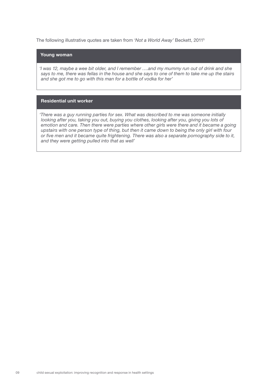The following illustrative quotes are taken from *'Not a World Away'* Beckett, 20115

### Young woman

*'I was 12, maybe a wee bit older, and I remember ….and my mummy run out of drink and she says to me, there was fellas in the house and she says to one of them to take me up the stairs and she got me to go with this man for a bottle of vodka for her'*

#### Residential unit worker

*'There was a guy running parties for sex. What was described to me was someone initially looking after you, taking you out, buying you clothes, looking after you, giving you lots of emotion and care. Then there were parties where other girls were there and it became a going upstairs with one person type of thing, but then it came down to being the only girl with four or five men and it became quite frightening. There was also a separate pornography side to it, and they were getting pulled into that as well'*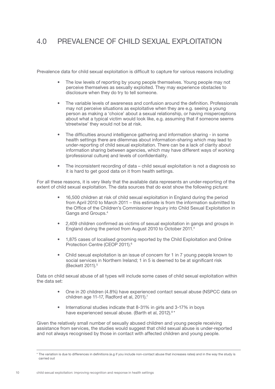# 4.0 PREVALENCE OF CHILD SEXUAL EXPLOITATION

Prevalence data for child sexual exploitation is difficult to capture for various reasons including:

- The low levels of reporting by young people themselves. Young people may not perceive themselves as sexually exploited. They may experience obstacles to disclosure when they do try to tell someone.
- The variable levels of awareness and confusion around the definition. Professionals may not perceive situations as exploitative when they are e.g. seeing a young person as making a 'choice' about a sexual relationship, or having misperceptions about what a typical victim would look like, e.g. assuming that if someone seems 'streetwise' they would not be at risk.
- The difficulties around intelligence gathering and information sharing in some health settings there are dilemmas about information-sharing which may lead to under-reporting of child sexual exploitation. There can be a lack of clarity about information sharing between agencies, which may have different ways of working (professional culture) and levels of confidentiality.
- The inconsistent recording of data child sexual exploitation is not a diagnosis so it is hard to get good data on it from health settings.

For all these reasons, it is very likely that the available data represents an under-reporting of the extent of child sexual exploitation. The data sources that do exist show the following picture:

- 16,500 children at risk of child sexual exploitation in England during the period from April 2010 to March 2011 – this estimate is from the information submitted to the Office of the Children's Commissioner Inquiry into Child Sexual Exploitation in Gangs and Groups.4
- • 2,409 children confirmed as victims of sexual exploitation in gangs and groups in England during the period from August 2010 to October 2011.4
- 1,875 cases of localised grooming reported by the Child Exploitation and Online Protection Centre (CEOP 2011).<sup>6</sup>
- Child sexual exploitation is an issue of concern for 1 in 7 young people known to social services in Northern Ireland; 1 in 5 is deemed to be at significant risk (Beckett 2011).<sup>5</sup>

Data on child sexual abuse of all types will include some cases of child sexual exploitation within the data set:

- One in 20 children (4.8%) have experienced contact sexual abuse (NSPCC data on children age 11-17, Radford et al, 2011).<sup>7</sup>
- International studies indicate that 8-31% in girls and 3-17% in boys have experienced sexual abuse. (Barth et al. 2012).<sup>8\*</sup>

Given the relatively small number of sexually abused children and young people receiving assistance from services, the studies would suggest that child sexual abuse is under-reported and not always recognised by those in contact with affected children and young people.

<sup>\*</sup> The variation is due to differences in definitions (e.g if you include non-contact abuse that increases rates) and in the way the study is carried out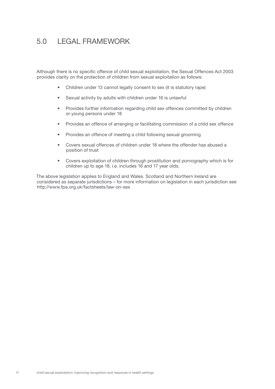# 5.0 LEGAL FRAMEWORK

Although there is no specific offence of child sexual exploitation, the Sexual Offences Act 2003 provides clarity on the protection of children from sexual exploitation as follows:

- Children under 13 cannot legally consent to sex (it is statutory rape)
- • Sexual activity by adults with children under 16 is unlawful
- Provides further information regarding child sex offences committed by children or young persons under 18
- Provides an offence of arranging or facilitating commission of a child sex offence
- Provides an offence of meeting a child following sexual grooming
- • Covers sexual offences of children under 18 where the offender has abused a position of trust
- • Covers exploitation of children through prostitution and pornography which is for children up to age 18, i.e. includes 16 and 17 year olds.

The above legislation applies to England and Wales. Scotland and Northern Ireland are considered as separate jurisdictions – for more information on legislation in each jurisdiction see http://www.fpa.org.uk/factsheets/law-on-sex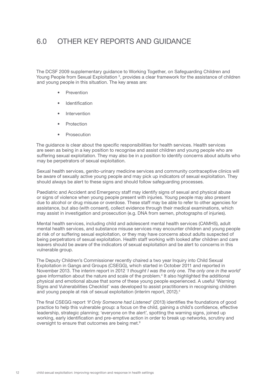### 6.0 OTHER KEY REPORTS AND GUIDANCE

The DCSF 2009 supplementary guidance to Working Together, on Safeguarding Children and Young People from Sexual Exploitation<sup>3</sup>, provides a clear framework for the assistance of children and young people in this situation. The key areas are:

- **Prevention**
- **Identification**
- Intervention
- **Protection**
- • Prosecution

The guidance is clear about the specific responsibilities for health services. Health services are seen as being in a key position to recognise and assist children and young people who are suffering sexual exploitation. They may also be in a position to identify concerns about adults who may be perpetrators of sexual exploitation.

Sexual health services, genito-urinary medicine services and community contraceptive clinics will be aware of sexually active young people and may pick up indicators of sexual exploitation. They should always be alert to these signs and should follow safeguarding processes.

Paediatric and Accident and Emergency staff may identify signs of sexual and physical abuse or signs of violence when young people present with injuries. Young people may also present due to alcohol or drug misuse or overdose. These staff may be able to refer to other agencies for assistance, but also (with consent), collect evidence through their medical examinations, which may assist in investigation and prosecution (e.g. DNA from semen, photographs of injuries).

Mental health services, including child and adolescent mental health services (CAMHS), adult mental health services, and substance misuse services may encounter children and young people at risk of or suffering sexual exploitation, or they may have concerns about adults suspected of being perpetrators of sexual exploitation. Health staff working with looked after children and care leavers should be aware of the indicators of sexual exploitation and be alert to concerns in this vulnerable group.

The Deputy Children's Commissioner recently chaired a two year Inquiry into Child Sexual Exploitation in Gangs and Groups (CSEGG), which started in October 2011 and reported in November 2013. The interim report in 2012 '*I thought I was the only one. The only one in the world*' gave information about the nature and scale of the problem.4 It also highlighted the additional physical and emotional abuse that some of these young people experienced. A useful 'Warning Signs and Vulnerabilities Checklist' was developed to assist practitioners in recognising children and young people at risk of sexual exploitation (interim report, 2012).4

The final CSEGG report *'If Only Someone had Listened'* (2013) identifies the foundations of good practice to help this vulnerable group: a focus on the child, gaining a child's confidence, effective leadership, strategic planning; 'everyone on the alert', spotting the warning signs, joined up working, early identification and pre-emptive action in order to break up networks, scrutiny and oversight to ensure that outcomes are being met.9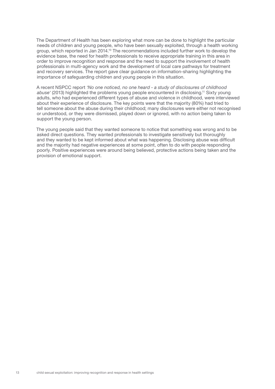The Department of Health has been exploring what more can be done to highlight the particular needs of children and young people, who have been sexually exploited, through a health working group, which reported in Jan 2014.10 The recommendations included further work to develop the evidence base, the need for health professionals to receive appropriate training in this area in order to improve recognition and response and the need to support the involvement of health professionals in multi-agency work and the development of local care pathways for treatment and recovery services. The report gave clear guidance on information-sharing highlighting the importance of safeguarding children and young people in this situation.

A recent NSPCC report *'No one noticed, no one heard - a study of disclosures of childhood abuse'* (2013) highlighted the problems young people encountered in disclosing.11 Sixty young adults, who had experienced different types of abuse and violence in childhood, were interviewed about their experience of disclosure. The key points were that the majority (80%) had tried to tell someone about the abuse during their childhood; many disclosures were either not recognised or understood, or they were dismissed, played down or ignored, with no action being taken to support the young person.

The young people said that they wanted someone to notice that something was wrong and to be asked direct questions. They wanted professionals to investigate sensitively but thoroughly and they wanted to be kept informed about what was happening. Disclosing abuse was difficult and the majority had negative experiences at some point, often to do with people responding poorly. Positive experiences were around being believed, protective actions being taken and the provision of emotional support.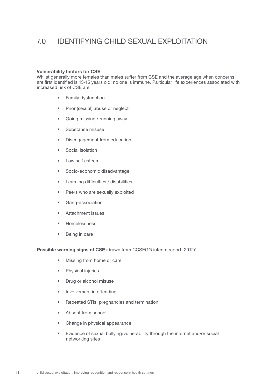### 7.0 IDENTIFYING CHILD SEXUAL EXPLOITATION

#### Vulnerability factors for CSE

Whilst generally more females than males suffer from CSE and the average age when concerns are first identified is 13-15 years old, no one is immune. Particular life experiences associated with increased risk of CSE are:

- • Family dysfunction
- Prior (sexual) abuse or neglect
- Going missing / running away
- • Substance misuse
- • Disengagement from education
- Social isolation
- Low self esteem
- • Socio-economic disadvantage
- • Learning difficulties / disabilities
- Peers who are sexually exploited
- • Gang-association
- • Attachment issues
- • Homelessness
- • Being in care

Possible warning signs of CSE (drawn from CCSEGG interim report, 2012)<sup>4</sup>

- • Missing from home or care
- • Physical injuries
- Drug or alcohol misuse
- Involvement in offending
- • Repeated STIs, pregnancies and termination
- Absent from school
- Change in physical appearance
- • Evidence of sexual bullying/vulnerability through the internet and/or social networking sites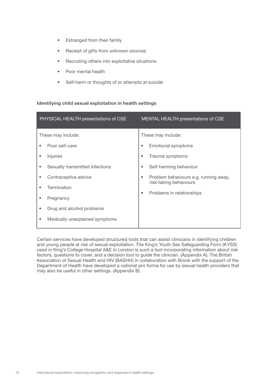- Estranged from their family
- Receipt of gifts from unknown sources
- Recruiting others into exploitative situations
- Poor mental health
- • Self-harm or thoughts of or attempts at suicide

### Identifying child sexual exploitation in health settings

| PHYSICAL HEALTH presentations of CSE |                                 | MENTAL HEALTH presentations of CSE |                                                                 |  |
|--------------------------------------|---------------------------------|------------------------------------|-----------------------------------------------------------------|--|
| These may include:                   |                                 | These may include:                 |                                                                 |  |
| ٠                                    | Poor self-care                  | ۰                                  | <b>Emotional symptoms</b>                                       |  |
|                                      | <i>Injuries</i>                 |                                    | Trauma symptoms                                                 |  |
| $\bullet$                            | Sexually transmitted infections | $\bullet$                          | Self-harming behaviour                                          |  |
| ٠                                    | Contraceptive advice            | $\bullet$                          | Problem behaviours e.g. running away,<br>risk-taking behaviours |  |
|                                      | Termination                     | $\bullet$                          | Problems in relationships                                       |  |
|                                      | Pregnancy                       |                                    |                                                                 |  |
| ٠                                    | Drug and alcohol problems       |                                    |                                                                 |  |
|                                      | Medically unexplained symptoms  |                                    |                                                                 |  |

Certain services have developed structured tools that can assist clinicians in identifying children and young people at risk of sexual exploitation. The King's Youth Sex Safeguarding Form (KYSS) used in King's College Hospital A&E in London is such a tool incorporating information about risk factors, questions to cover, and a decision tool to guide the clinician. (Appendix A). The British Association of Sexual Health and HIV (BASHH) in collaboration with Brook with the support of the Department of Health have developed a national pro forma for use by sexual health providers that may also be useful in other settings. (Appendix B).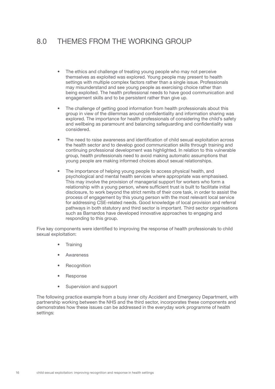# 8.0 THEMES FROM THE WORKING GROUP

- The ethics and challenge of treating young people who may not perceive themselves as exploited was explored. Young people may present to health settings with multiple complex factors rather than a single issue. Professionals may misunderstand and see young people as exercising choice rather than being exploited. The health professional needs to have good communication and engagement skills and to be persistent rather than give up.
- The challenge of getting good information from health professionals about this group in view of the dilemmas around confidentiality and information sharing was explored. The importance for health professionals of considering the child's safety and wellbeing as paramount and balancing safeguarding and confidentiality was considered.
- The need to raise awareness and identification of child sexual exploitation across the health sector and to develop good communication skills through training and continuing professional development was highlighted. In relation to this vulnerable group, health professionals need to avoid making automatic assumptions that young people are making informed choices about sexual relationships.
- The importance of helping young people to access physical health, and psychological and mental health services where appropriate was emphasised. This may involve the provision of managerial support for workers who form a relationship with a young person, where sufficient trust is built to facilitate initial disclosure, to work beyond the strict remits of their core task, in order to assist the process of engagement by this young person with the most relevant local service for addressing CSE-related needs. Good knowledge of local provision and referral pathways in both statutory and third sector is important. Third sector organisations such as Barnardos have developed innovative approaches to engaging and responding to this group.

Five key components were identified to improving the response of health professionals to child sexual exploitation:

- **Training**
- **Awareness**
- **Recognition**
- **Response**
- Supervision and support

The following practice example from a busy inner city Accident and Emergency Department, with partnership working between the NHS and the third sector, incorporates these components and demonstrates how these issues can be addressed in the everyday work programme of health settings: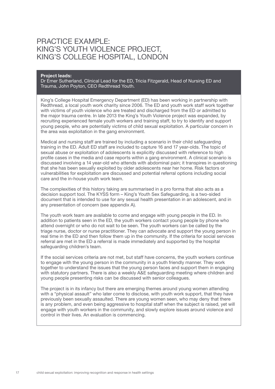### PRACTICE EXAMPLE: KING'S YOUTH VIOLENCE PROJECT, KING'S COLLEGE HOSPITAL, LONDON

#### Project leads:

Dr Emer Sutherland, Clinical Lead for the ED, Tricia Fitzgerald, Head of Nursing ED and Trauma, John Poyton, CEO Redthread Youth.

King's College Hospital Emergency Department (ED) has been working in partnership with Redthread, a local youth work charity since 2006. The ED and youth work staff work together with victims of youth violence who are treated and discharged from the ED or admitted to the major trauma centre. In late 2013 the King's Youth Violence project was expanded, by recruiting experienced female youth workers and training staff, to try to identify and support young people, who are potentially victims of child sexual exploitation. A particular concern in the area was exploitation in the gang environment.

Medical and nursing staff are trained by including a scenario in their child safeguarding training in the ED. Adult ED staff are included to capture 16 and 17 year-olds. The topic of sexual abuse or exploitation of adolescents is explicitly discussed with reference to high profile cases in the media and case reports within a gang environment. A clinical scenario is discussed involving a 14 year-old who attends with abdominal pain; it transpires in questioning that she has been sexually exploited by older adolescents near her home. Risk factors or vulnerabilities for exploitation are discussed and potential referral options including social care and the in-house youth work team.

The complexities of this history taking are summarised in a pro forma that also acts as a decision support tool. The KYSS form – King's Youth Sex Safeguarding, is a two-sided document that is intended to use for any sexual health presentation in an adolescent, and in any presentation of concern (see appendix A).

The youth work team are available to come and engage with young people in the ED. In addition to patients seen in the ED, the youth workers contact young people by phone who attend overnight or who do not wait to be seen. The youth workers can be called by the triage nurse, doctor or nurse practitioner. They can advocate and support the young person in real time in the ED and then follow them up in the community. If the criteria for social services referral are met in the ED a referral is made immediately and supported by the hospital safeguarding children's team.

If the social services criteria are not met, but staff have concerns, the youth workers continue to engage with the young person in the community in a youth friendly manner. They work together to understand the issues that the young person faces and support them in engaging with statutory partners. There is also a weekly A&E safeguarding meeting where children and young people presenting risks can be discussed with senior colleagues.

The project is in its infancy but there are emerging themes around young women attending with a "physical assault" who later come to disclose, with youth work support, that they have previously been sexually assaulted. There are young women seen, who may deny that there is any problem, and even being aggressive to hospital staff when the subject is raised, yet will engage with youth workers in the community, and slowly explore issues around violence and control in their lives. An evaluation is commencing.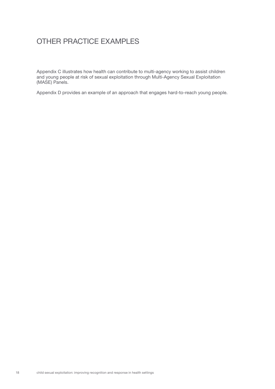# OTHER PRACTICE EXAMPLES

Appendix C illustrates how health can contribute to multi-agency working to assist children and young people at risk of sexual exploitation through Multi-Agency Sexual Exploitation (MASE) Panels.

Appendix D provides an example of an approach that engages hard-to-reach young people.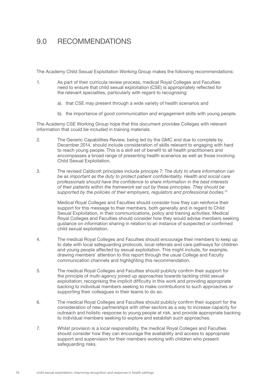### 9.0 RECOMMENDATIONS

The Academy Child Sexual Exploitation Working Group makes the following recommendations:

- 1. As part of their curricula review process, medical Royal Colleges and Faculties need to ensure that child sexual exploitation (CSE) is appropriately reflected for the relevant specialties, particularly with regard to recognising:
	- a). that CSE may present through a wide variety of health scenarios and
	- b). the importance of good communication and engagement skills with young people.

The Academy CSE Working Group hope that this document provides Colleges with relevant information that could be included in training materials.

- 2. The Generic Capabilities Review, being led by the GMC and due to complete by December 2014, should include consideration of skills relevant to engaging with hard to reach young people. This is a skill set of benefit to all health practitioners and encompasses a broad range of presenting health scenarios as well as those involving Child Sexual Exploitation.
- 3. The revised Caldicott principles include principle 7: *The duty to share information can be as important as the duty to protect patient confidentiality. Health and social care professionals should have the confidence to share information in the best interests of their patients within the framework set out by these principles. They should be supported by the policies of their employers, regulators and professional bodies.*<sup>12</sup>

 Medical Royal Colleges and Faculties should consider how they can reinforce their support for this message to their members, both generally and in regard to Child Sexual Exploitation, in their communications, policy and training activities. Medical Royal Colleges and Faculties should consider how they would advise members seeking guidance on information sharing in relation to an instance of suspected or confirmed child sexual exploitation.

- 4. The medical Royal Colleges and Faculties should encourage their members to keep up to date with local safeguarding protocols, local referrals and care pathways for children and young people affected by sexual exploitation. This might include, for example, drawing members' attention to this report through the usual College and Faculty communication channels and highlighting this recommendation.
- 5. The medical Royal Colleges and Faculties should publicly confirm their support for the principle of multi-agency joined up approaches towards tackling child sexual exploitation; recognising the implicit difficulty in this work and providing appropriate backing to individual members seeking to make contributions to such approaches or supporting their colleagues in their teams to do so.
- 6. The medical Royal Colleges and Faculties should publicly confirm their support for the consideration of new partnerships with other sectors as a way to increase capacity for outreach and holistic response to young people at risk, and provide appropriate backing to individual members seeking to explore and establish such approaches.
- 7. Whilst provision is a local responsibility, the medical Royal Colleges and Faculties should consider how they can encourage the availability and access to appropriate support and supervision for their members working with children who present safeguarding risks.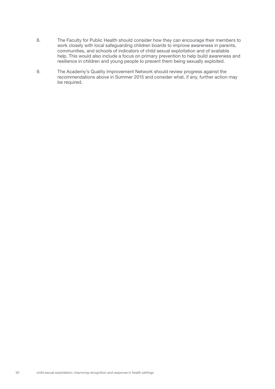- 8. The Faculty for Public Health should consider how they can encourage their members to work closely with local safeguarding children boards to improve awareness in parents, communities, and schools of indicators of child sexual exploitation and of available help. This would also include a focus on primary prevention to help build awareness and resilience in children and young people to prevent them being sexually exploited.
- 9. The Academy's Quality Improvement Network should review progress against the recommendations above in Summer 2015 and consider what, if any, further action may be required.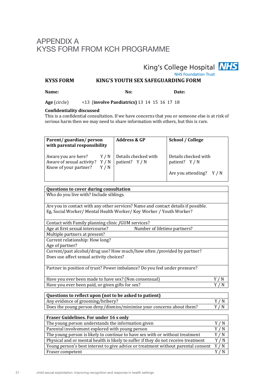### APPENDIX A KYSS FORM FROM KCH PROGRAMME

King's College Hospital **NHS NHS Foundation Trust** 

**KYSS FORM BURG'S YOUTH SEX SAFEGUARDING FORM** 

Name: Date:

**Age** (circle) <13 (**involve Paediatrics**) 13 14 15 16 17 18

### **Confidentiality discussed**

This is a confidential consultation. If we have concerns that you or someone else is at risk of serious harm then we may need to share information with others, but this is rare.

| Parent/guardian/person<br>with parental responsibility                                                     |     | <b>Address &amp; GP</b> | School / College                     |
|------------------------------------------------------------------------------------------------------------|-----|-------------------------|--------------------------------------|
| Aware you are here? $Y/N$ Details checked with<br>Aware of sexual activity? $Y/N$<br>Know of your partner? | Y/N | patient? $Y/N$          | Details checked with<br>patient? Y/N |
|                                                                                                            |     |                         | Are you attending? Y / N             |

|  |  | Questions to cover during consultation |  |
|--|--|----------------------------------------|--|
|  |  |                                        |  |

Who do you live with? Include siblings.

Are you in contact with any other services? Name and contact details if possible. Eg, Social Worker/ Mental Health Worker/ Key Worker / Youth Worker?

| Contact with Family planning clinic / GUM services? |                              |
|-----------------------------------------------------|------------------------------|
| Age at first sexual intercourse?                    | Number of lifetime partners? |
|                                                     |                              |

Multiple partners at present?

Current relationship: How long? Age of partner?

Current/past alcohol/drug use? How much/how often /provided by partner? Does use affect sexual activity choices?

Partner in position of trust? Power imbalance? Do you feel under pressure?

| Have you ever been made to have sex? (Non consensual) |       |
|-------------------------------------------------------|-------|
| Have you ever been paid, or given gifts for sex?      | Y / N |

| Questions to reflect upon (not to be asked to patient)                |       |
|-----------------------------------------------------------------------|-------|
| Any evidence of grooming/bribery?                                     | Y / N |
| Does the young person deny/dismiss/minimise your concerns about them? | Y / N |

| Fraser Guidelines. For under 16 s only                                             |                    |
|------------------------------------------------------------------------------------|--------------------|
| The young person understands the information given                                 |                    |
| Parental involvement explored with young person                                    | $\mathbb N$<br>Y / |
| The young person is likely to continue to have sex with or without treatment       | 'N                 |
| Physical and or mental health is likely to suffer if they do not receive treatment | Y / N              |
| Young person's best interest to give advice or treatment without parental consent  | Y/N                |
| Fraser competent                                                                   |                    |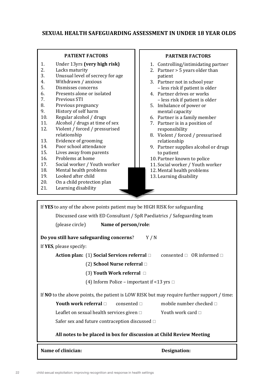### **SEXUAL HEALTH SAFEGUARDING ASSESSMENT IN UNDER 18 YEAR OLDS**

### **PATIENT FACTORS**

- 1. Under 13yrs (very high risk)<br>2. Lacks maturity
- 2. Lacks maturity<br>3. Unusual level of
- 3. Unusual level of secrecy for age<br>
4. Withdrawn / anxious
- 4. Withdrawn / anxious<br>5. Dismisses concerns
- 5. Dismisses concerns<br>6. Presents alone or ise
- 6. Presents alone or isolated<br>
7. Previous STI
- 7. Previous STI<br>8. Previous pre
- 8. Previous pregnancy<br>9. History of self harm
- 9. History of self harm<br>10. Regular alcohol / dr
- 10. Regular alcohol / drugs<br>11. Alcohol / drugs at time
- 11. Alcohol / drugs at time of sex<br>12. Violent / forced / pressurised
- Violent / forced / pressurised relationship
- 13. Evidence of grooming<br>14. Poor school attendanc
- 14. Poor school attendance<br>15. Lives away from parent.
- 15. Lives away from parents<br>16. Problems at home
- 16. Problems at home<br>17. Social worker / Yo
- 17. Social worker / Youth worker<br>
18. Mental health problems
- 18. Mental health problems<br>
19 Looked after child
- 19. Looked after child<br>20. On a child protecti
- 20. On a child protection plan<br>21. Learning disability
- Learning disability

### **PARTNER FACTORS**

- 1. Controlling/intimidating partner
- 2. Partner  $> 5$  years older than
- patient
- 3. Partner not in school year – less risk if patient is older
- 4. Partner drives or works – less risk if patient is older
- 5. Imbalance of power or mental capacity
- 6. Partner is a family member
- 7. Partner is in a position of responsibility
- 8. Violent / forced / pressurised relationship
- 9. Partner supplies alcohol or drugs to patient
- 10. Partner known to police
- 11. Social worker / Youth worker
- 12. Mental health problems
- 13. Learning disability

If YES to any of the above points patient may be HIGH RISK for safeguarding Discussed case with ED Consultant / SpR Paediatrics / Safeguarding team (please circle) **Name of person/role**: **Do you still have safeguarding concerns?** Y/N If **YES**, please specify: **Action plan:** (1) **Social Services referral**  $\Box$  consented  $\Box$  OR informed  $\Box$ (2) **School Nurse referral** □ (3) Youth Work referral  $\Box$ (4) Inform Police – important if  $\leq 13$  vrs  $\Box$ If **NO** to the above points, the patient is LOW RISK but may require further support / time: **Youth work referral**  $\Box$  consented  $\Box$  mobile number checked  $\Box$ Leaflet on sexual health services given  $\Box$  Youth work card  $\Box$ Safer sex and future contraception discussed  $\Box$ All notes to be placed in box for discussion at Child Review Meeting **Name of clinician: Designation:**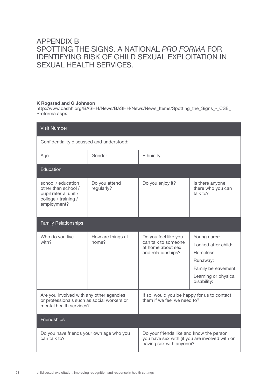### APPENDIX B SPOTTING THE SIGNS. A NATIONAL *PRO FORMA* FOR IDENTIFYING RISK OF CHILD SEXUAL EXPLOITATION IN SEXUAL HEALTH SERVICES.

### K Rogstad and G Johnson

http://www.bashh.org/BASHH/News/BASHH/News/News\_Items/Spotting\_the\_Signs\_-\_CSE\_ Proforma.aspx

| <b>Visit Number</b>                                                                                               |                             |                                                                                                                        |                                                                                                                            |  |
|-------------------------------------------------------------------------------------------------------------------|-----------------------------|------------------------------------------------------------------------------------------------------------------------|----------------------------------------------------------------------------------------------------------------------------|--|
| Confidentiality discussed and understood:                                                                         |                             |                                                                                                                        |                                                                                                                            |  |
| Age                                                                                                               | Gender                      | Ethnicity                                                                                                              |                                                                                                                            |  |
| Education                                                                                                         |                             |                                                                                                                        |                                                                                                                            |  |
| school / education<br>other than school /<br>pupil referral unit /<br>college / training /<br>employment?         | Do you attend<br>regularly? | Do you enjoy it?                                                                                                       | Is there anyone<br>there who you can<br>talk to?                                                                           |  |
| <b>Family Relationships</b>                                                                                       |                             |                                                                                                                        |                                                                                                                            |  |
| Who do you live<br>with?                                                                                          | How are things at<br>home?  | Do you feel like you<br>can talk to someone<br>at home about sex<br>and relationships?                                 | Young carer:<br>Looked after child:<br>Homeless:<br>Runaway:<br>Family bereavement:<br>Learning or physical<br>disability: |  |
| Are you involved with any other agencies<br>or professionals such as social workers or<br>mental health services? |                             | If so, would you be happy for us to contact<br>them if we feel we need to?                                             |                                                                                                                            |  |
| Friendships                                                                                                       |                             |                                                                                                                        |                                                                                                                            |  |
| Do you have friends your own age who you<br>can talk to?                                                          |                             | Do your friends like and know the person<br>you have sex with (if you are involved with or<br>having sex with anyone)? |                                                                                                                            |  |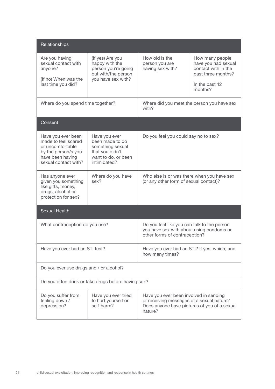| Relationships                                                                                                                    |                                                                                                                |                                                                                                                                                |                                                                                                                  |  |
|----------------------------------------------------------------------------------------------------------------------------------|----------------------------------------------------------------------------------------------------------------|------------------------------------------------------------------------------------------------------------------------------------------------|------------------------------------------------------------------------------------------------------------------|--|
| Are you having<br>sexual contact with<br>anyone?<br>(If no) When was the<br>last time you did?                                   | (If yes) Are you<br>happy with the<br>person you're going<br>out with/the person<br>you have sex with?         | How old is the<br>person you are<br>having sex with?                                                                                           | How many people<br>have you had sexual<br>contact with in the<br>past three months?<br>In the past 12<br>months? |  |
| Where do you spend time together?                                                                                                |                                                                                                                | Where did you meet the person you have sex<br>with?                                                                                            |                                                                                                                  |  |
| Consent                                                                                                                          |                                                                                                                |                                                                                                                                                |                                                                                                                  |  |
| Have you ever been<br>made to feel scared<br>or uncomfortable<br>by the person/s you<br>have been having<br>sexual contact with? | Have you ever<br>been made to do<br>something sexual<br>that you didn't<br>want to do, or been<br>intimidated? | Do you feel you could say no to sex?                                                                                                           |                                                                                                                  |  |
| Has anyone ever<br>given you something<br>like gifts, money,<br>drugs, alcohol or<br>protection for sex?                         | Where do you have<br>sex?                                                                                      | Who else is or was there when you have sex<br>(or any other form of sexual contact)?                                                           |                                                                                                                  |  |
| <b>Sexual Health</b>                                                                                                             |                                                                                                                |                                                                                                                                                |                                                                                                                  |  |
| What contraception do you use?                                                                                                   |                                                                                                                | Do you feel like you can talk to the person<br>you have sex with about using condoms or<br>other forms of contraception?                       |                                                                                                                  |  |
| Have you ever had an STI test?                                                                                                   |                                                                                                                | Have you ever had an STI? If yes, which, and<br>how many times?                                                                                |                                                                                                                  |  |
| Do you ever use drugs and / or alcohol?                                                                                          |                                                                                                                |                                                                                                                                                |                                                                                                                  |  |
|                                                                                                                                  | Do you often drink or take drugs before having sex?                                                            |                                                                                                                                                |                                                                                                                  |  |
| Do you suffer from<br>feeling down /<br>depression?                                                                              | Have you ever tried<br>to hurt yourself or<br>self-harm?                                                       | Have you ever been involved in sending<br>or receiving messages of a sexual nature?<br>Does anyone have pictures of you of a sexual<br>nature? |                                                                                                                  |  |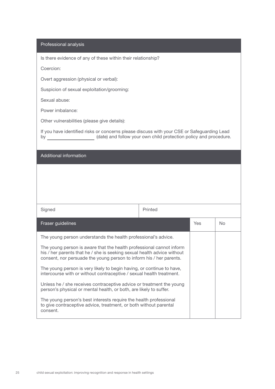#### Professional analysis

Is there evidence of any of these within their relationship?

Coercion:

Overt aggression (physical or verbal):

Suspicion of sexual exploitation/grooming:

Sexual abuse:

Power imbalance:

Other vulnerabilities (please give details):

If you have identified risks or concerns please discuss with your CSE or Safeguarding Lead by \_\_\_\_\_\_\_\_\_\_\_\_\_\_\_\_\_\_\_\_\_(date) and follow your own child protection policy and procedure.

### Additional information

| Signed                                                                                                                                                                                                                 | Printed |            |                |
|------------------------------------------------------------------------------------------------------------------------------------------------------------------------------------------------------------------------|---------|------------|----------------|
| Fraser guidelines                                                                                                                                                                                                      |         | <b>Yes</b> | N <sub>o</sub> |
| The young person understands the health professional's advice.                                                                                                                                                         |         |            |                |
| The young person is aware that the health professional cannot inform<br>his / her parents that he / she is seeking sexual health advice without<br>consent, nor persuade the young person to inform his / her parents. |         |            |                |
| The young person is very likely to begin having, or continue to have,<br>intercourse with or without contraceptive / sexual health treatment.                                                                          |         |            |                |
| Unless he / she receives contraceptive advice or treatment the young<br>person's physical or mental health, or both, are likely to suffer.                                                                             |         |            |                |
| The young person's best interests require the health professional<br>to give contraceptive advice, treatment, or both without parental<br>consent.                                                                     |         |            |                |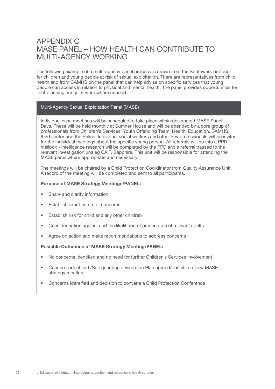### APPENDIX C MASE PANEL – HOW HEALTH CAN CONTRIBUTE TO MULTI-AGENCY WORKING

The following example of a multi-agency panel process is drawn from the Southwark protocol for children and young people at risk of sexual exploitation. There are representatives from child health and from CAMHS on the panel that can help advise on specific services that young people can access in relation to physical and mental health. The panel provides opportunities for joint planning and joint work where needed.

### Multi-Agency Sexual Exploitation Panel (MASE)

Individual case meetings will be scheduled to take place within designated MASE Panel Days. These will be held monthly at Sumner House and will be attended by a core group of professionals from Children's Services, Youth Offending Team, Health, Education, CAMHS, third sector and the Police. Individual social workers and other key professionals will be invited for the individual meetings about the specific young person. All referrals will go into a PPD mailbox - intelligence research will be completed by the PPD and a referral passed to the relevant investigation unit eg CAIT, Sapphire. This unit will be responsible for attending the MASE panel where appropriate and necessary.

The meetings will be chaired by a Child Protection Coordinator from Quality Assurance Unit. A record of the meeting will be completed and sent to all participants.

#### Purpose of MASE Strategy Meetings/PANEL:

- Share and clarify information
- Establish exact nature of concerns
- Establish risk for child and any other children
- Consider action against and the likelihood of prosecution of relevant adults
- Agree on action and make recommendations to address concerns

#### Possible Outcomes of MASE Strategy Meeting/PANEL:

- • No concerns identified and no need for further Children's Services involvement
- Concerns identified /Safeguarding /Disruption Plan agreed/possible review MASE strategy meeting
- Concerns identified and decision to convene a Child Protection Conference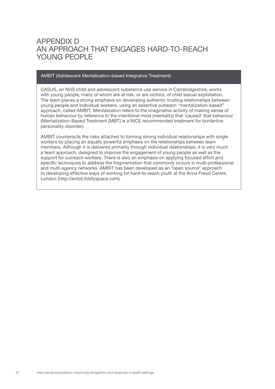### APPENDIX D AN APPROACH THAT ENGAGES HARD-TO-REACH YOUNG PEOPLE

#### AMBIT (Adolescent Mentalization-based Integrative Treatment)

CASUS, an NHS child and adolescent substance use service in Cambridgeshire, works with young people, many of whom are at risk, or are victims, of child sexual exploitation. The team places a strong emphasis on developing authentic trusting relationships between young people and individual workers, using an assertive outreach "mentalization-based" approach, called AMBIT. Mentalization refers to the imaginative activity of making sense of human behaviour by reference to the intentional mind (mentality) that 'caused' that behaviour (Mentalization-Based Treatment [MBT] is a NICE recommended treatment for borderline personality disorder).

AMBIT counteracts the risks attached to forming strong individual relationships with single workers by placing an equally powerful emphasis on the relationships between team members. Although it is delivered primarily through individual relationships, it is very much a team approach, designed to improve the engagement of young people as well as the support for outreach workers. There is also an emphasis on applying focused effort and specific techniques to address the fragmentation that commonly occurs in multi-professional and multi-agency networks. AMBIT has been developed as an "open source" approach to developing effective ways of working for hard-to-reach youth at the Anna Freud Centre, London (http://ambit.tiddlyspace.com).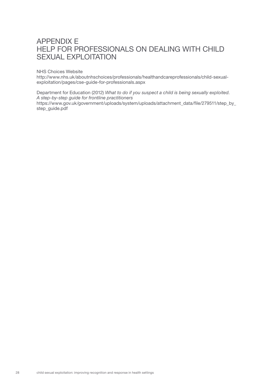### APPENDIX E HELP FOR PROFESSIONALS ON DEALING WITH CHILD SEXUAL EXPLOITATION

#### NHS Choices Website

http://www.nhs.uk/aboutnhschoices/professionals/healthandcareprofessionals/child-sexualexploitation/pages/cse-guide-for-professionals.aspx

Department for Education (2012) *What to do if you suspect a child is being sexually exploited*. *A step-by-step guide for frontline practitioners* https://www.gov.uk/government/uploads/system/uploads/attachment\_data/file/279511/step\_by\_ step\_guide.pdf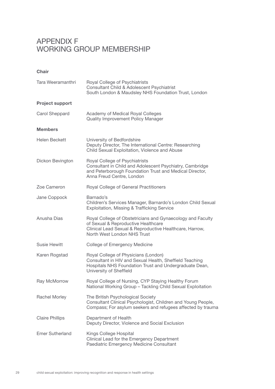### APPENDIX F WORKING GROUP MEMBERSHIP

Chair

| Tara Weeramanthri      | Royal College of Psychiatrists<br>Consultant Child & Adolescent Psychiatrist<br>South London & Maudsley NHS Foundation Trust, London                                                        |  |  |  |
|------------------------|---------------------------------------------------------------------------------------------------------------------------------------------------------------------------------------------|--|--|--|
| <b>Project support</b> |                                                                                                                                                                                             |  |  |  |
| Carol Sheppard         | Academy of Medical Royal Colleges<br><b>Quality Improvement Policy Manager</b>                                                                                                              |  |  |  |
| <b>Members</b>         |                                                                                                                                                                                             |  |  |  |
| Helen Beckett          | University of Bedfordshire<br>Deputy Director, The International Centre: Researching<br>Child Sexual Exploitation, Violence and Abuse                                                       |  |  |  |
| Dickon Bevington       | Royal College of Psychiatrists<br>Consultant in Child and Adolescent Psychiatry, Cambridge<br>and Peterborough Foundation Trust and Medical Director,<br>Anna Freud Centre, London          |  |  |  |
| Zoe Cameron            | Royal College of General Practitioners                                                                                                                                                      |  |  |  |
| Jane Coppock           | Barnado's<br>Children's Services Manager, Barnardo's London Child Sexual<br>Exploitation, Missing & Trafficking Service                                                                     |  |  |  |
| Anusha Dias            | Royal College of Obstetricians and Gynaecology and Faculty<br>of Sexual & Reproductive Healthcare<br>Clinical Lead Sexual & Reproductive Healthcare, Harrow,<br>North West London NHS Trust |  |  |  |
| <b>Susie Hewitt</b>    | College of Emergency Medicine                                                                                                                                                               |  |  |  |
| Karen Rogstad          | Royal College of Physicians (London)<br>Consultant in HIV and Sexual Health, Sheffield Teaching<br>Hospitals NHS Foundation Trust and Undergraduate Dean,<br>University of Sheffield        |  |  |  |
| Ray McMorrow           | Royal College of Nursing, CYP Staying Healthy Forum<br>National Working Group - Tackling Child Sexual Exploitation                                                                          |  |  |  |
| Rachel Morley          | The British Psychological Society<br>Consultant Clinical Psychologist, Children and Young People,<br>Compass; For asylum seekers and refugees affected by trauma                            |  |  |  |
| <b>Claire Phillips</b> | Department of Health<br>Deputy Director, Violence and Social Exclusion                                                                                                                      |  |  |  |
| <b>Emer Sutherland</b> | Kings College Hospital<br>Clinical Lead for the Emergency Department<br>Paediatric Emergency Medicine Consultant                                                                            |  |  |  |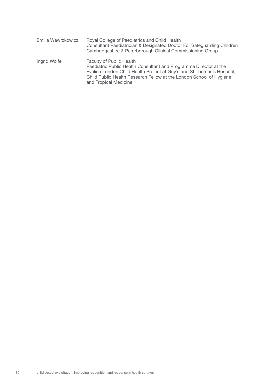| Emilia Wawrzkowicz | Royal College of Paediatrics and Child Health<br>Consultant Paediatrician & Designated Doctor For Safeguarding Children<br>Cambridgeshire & Peterborough Clinical Commissioning Group                                                                                          |
|--------------------|--------------------------------------------------------------------------------------------------------------------------------------------------------------------------------------------------------------------------------------------------------------------------------|
| Ingrid Wolfe       | <b>Faculty of Public Health</b><br>Paediatric Public Health Consultant and Programme Director at the<br>Evelina London Child Health Project at Guy's and St Thomas's Hospital;<br>Child Public Health Research Fellow at the London School of Hygiene<br>and Tropical Medicine |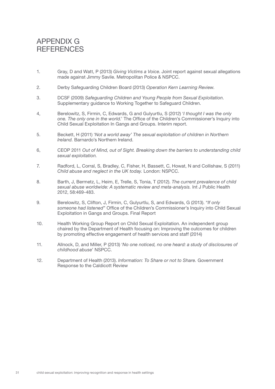### APPENDIX G **REFERENCES**

- 1. Gray, D and Watt, P (2013) *Giving Victims a Voice*. Joint report against sexual allegations made against Jimmy Savile. Metropolitan Police & NSPCC.
- 2. Derby Safeguarding Children Board (2013) *Operation Kern Learning Review*.
- 3. DCSF (2009) *Safeguarding Children and Young People from Sexual Exploitation*. Supplementary guidance to Working Together to Safeguard Children.
- 4, Berelowitz, S, Firmin, C, Edwards, G and Gulyurtlu, S (2012) '*I thought I was the only one. The only one in the world.*' The Office of the Children's Commissioner's Inquiry into Child Sexual Exploitation In Gangs and Groups. Interim report.
- 5. Beckett, H (2011) '*Not a world away' The sexual exploitation of children in Northern Ireland.* Barnardo's Northern Ireland.
- 6, CEOP 2011 *Out of Mind, out of Sight. Breaking down the barriers to understanding child sexual exploitation.*
- 7. Radford, L, Corral, S, Bradley, C, Fisher, H, Bassett, C, Howat, N and Collishaw, S (2011) *Child abuse and neglect in the UK today.* London: NSPCC.
- 8. Barth, J, Bermetz, L, Heim, E, Trelle, S, Tonia, T (2012). *The current prevalence of child sexual abuse worldwide: A systematic review and meta-analysis.* Int J Public Health 2012, 58:469-483.
- 9. Berelowitz, S, Clifton, J, Firmin, C, Gulyurtlu, S, and Edwards, G (2013). "*If only someone had listened*" Office of the Children's Commissioner's Inquiry into Child Sexual Exploitation in Gangs and Groups. Final Report
- 10. Health Working Group Report on Child Sexual Exploitation. An independent group chaired by the Department of Health focusing on: Improving the outcomes for children by promoting effective engagement of health services and staff (2014)
- 11. Allnock, D, and Miller, P (2013) '*No one noticed, no one heard: a study of disclosures of childhood abuse*' NSPCC.
- 12. Department of Health (2013). *Information: To Share or not to Share.* Government Response to the Caldicott Review